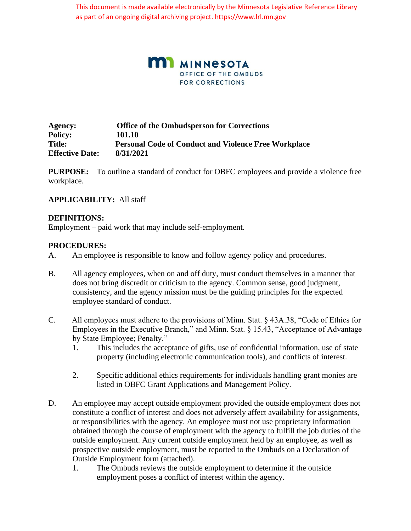This document is made available electronically by the Minnesota Legislative Reference Library as part of an ongoing digital archiving project. https://www.lrl.mn.gov



**Agency: Office of the Ombudsperson for Corrections Policy: 101.10 Title: Personal Code of Conduct and Violence Free Workplace Effective Date: 8/31/2021** 

**PURPOSE:** To outline a standard of conduct for OBFC employees and provide a violence free workplace.

## **APPLICABILITY:** All staff

#### **DEFINITIONS:**

Employment – paid work that may include self-employment.

#### **PROCEDURES:**

- A. An employee is responsible to know and follow agency policy and procedures.
- B. All agency employees, when on and off duty, must conduct themselves in a manner that does not bring discredit or criticism to the agency. Common sense, good judgment, consistency, and the agency mission must be the guiding principles for the expected employee standard of conduct.
- C. All employees must adhere to the provisions of Minn. Stat. § 43A.38, "Code of Ethics for Employees in the Executive Branch," and Minn. Stat. § 15.43, "Acceptance of Advantage by State Employee; Penalty."
	- 1. This includes the acceptance of gifts, use of confidential information, use of state property (including electronic communication tools), and conflicts of interest.
	- 2. Specific additional ethics requirements for individuals handling grant monies are listed in OBFC Grant Applications and Management Policy.
- D. An employee may accept outside employment provided the outside employment does not constitute a conflict of interest and does not adversely affect availability for assignments, or responsibilities with the agency. An employee must not use proprietary information obtained through the course of employment with the agency to fulfill the job duties of the outside employment. Any current outside employment held by an employee, as well as prospective outside employment, must be reported to the Ombuds on a Declaration of Outside Employment form (attached).
	- 1. The Ombuds reviews the outside employment to determine if the outside employment poses a conflict of interest within the agency.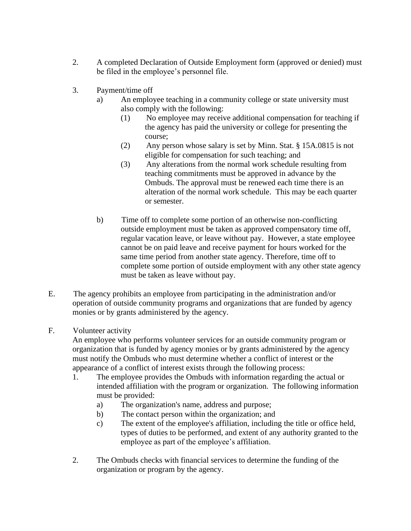- 2. A completed Declaration of Outside Employment form (approved or denied) must be filed in the employee's personnel file.
- 3. Payment/time off
	- a) An employee teaching in a community college or state university must also comply with the following:
		- (1) No employee may receive additional compensation for teaching if the agency has paid the university or college for presenting the course;
		- (2) Any person whose salary is set by Minn. Stat. § 15A.0815 is not eligible for compensation for such teaching; and
		- (3) Any alterations from the normal work schedule resulting from teaching commitments must be approved in advance by the Ombuds. The approval must be renewed each time there is an alteration of the normal work schedule. This may be each quarter or semester.
	- b) Time off to complete some portion of an otherwise non-conflicting outside employment must be taken as approved compensatory time off, regular vacation leave, or leave without pay. However, a state employee cannot be on paid leave and receive payment for hours worked for the same time period from another state agency. Therefore, time off to complete some portion of outside employment with any other state agency must be taken as leave without pay.
- E. The agency prohibits an employee from participating in the administration and/or operation of outside community programs and organizations that are funded by agency monies or by grants administered by the agency.

## F. Volunteer activity

An employee who performs volunteer services for an outside community program or organization that is funded by agency monies or by grants administered by the agency must notify the Ombuds who must determine whether a conflict of interest or the appearance of a conflict of interest exists through the following process:

- 1. The employee provides the Ombuds with information regarding the actual or intended affiliation with the program or organization. The following information must be provided:
	- a) The organization's name, address and purpose;
	- b) The contact person within the organization; and
	- c) The extent of the employee's affiliation, including the title or office held, types of duties to be performed, and extent of any authority granted to the employee as part of the employee's affiliation.
- 2. The Ombuds checks with financial services to determine the funding of the organization or program by the agency.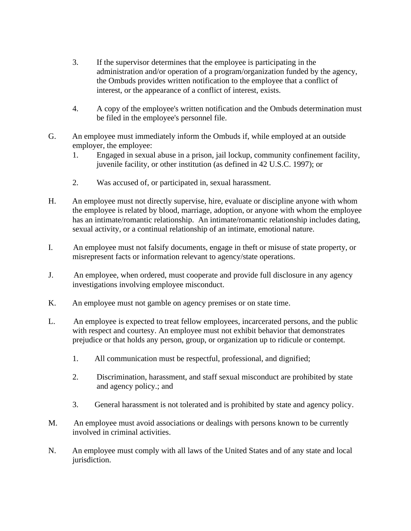- 3. If the supervisor determines that the employee is participating in the administration and/or operation of a program/organization funded by the agency, the Ombuds provides written notification to the employee that a conflict of interest, or the appearance of a conflict of interest, exists.
- 4. A copy of the employee's written notification and the Ombuds determination must be filed in the employee's personnel file.
- G. An employee must immediately inform the Ombuds if, while employed at an outside employer, the employee:
	- 1. Engaged in sexual abuse in a prison, jail lockup, community confinement facility, juvenile facility, or other institution (as defined in 42 U.S.C. 1997); or
	- 2. Was accused of, or participated in, sexual harassment.
- H. An employee must not directly supervise, hire, evaluate or discipline anyone with whom the employee is related by blood, marriage, adoption, or anyone with whom the employee has an intimate/romantic relationship. An intimate/romantic relationship includes dating, sexual activity, or a continual relationship of an intimate, emotional nature.
- I. An employee must not falsify documents, engage in theft or misuse of state property, or misrepresent facts or information relevant to agency/state operations.
- J. An employee, when ordered, must cooperate and provide full disclosure in any agency investigations involving employee misconduct.
- K. An employee must not gamble on agency premises or on state time.
- L. An employee is expected to treat fellow employees, incarcerated persons, and the public with respect and courtesy. An employee must not exhibit behavior that demonstrates prejudice or that holds any person, group, or organization up to ridicule or contempt.
	- 1. All communication must be respectful, professional, and dignified;
	- 2. Discrimination, harassment, and staff sexual misconduct are prohibited by state and agency policy.; and
	- 3. General harassment is not tolerated and is prohibited by state and agency policy.
- M. An employee must avoid associations or dealings with persons known to be currently involved in criminal activities.
- N. An employee must comply with all laws of the United States and of any state and local jurisdiction.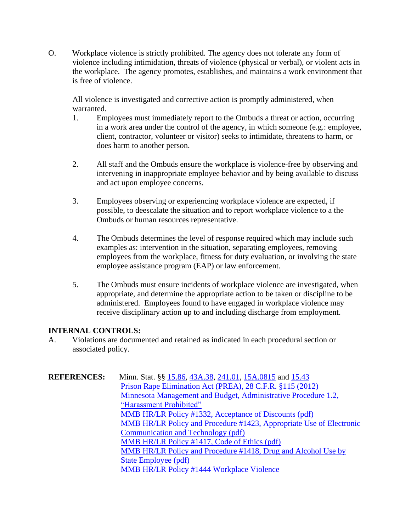O. Workplace violence is strictly prohibited. The agency does not tolerate any form of violence including intimidation, threats of violence (physical or verbal), or violent acts in the workplace. The agency promotes, establishes, and maintains a work environment that is free of violence.

All violence is investigated and corrective action is promptly administered, when warranted.

- 1. Employees must immediately report to the Ombuds a threat or action, occurring in a work area under the control of the agency, in which someone (e.g.: employee, client, contractor, volunteer or visitor) seeks to intimidate, threatens to harm, or does harm to another person.
- 2. All staff and the Ombuds ensure the workplace is violence-free by observing and intervening in inappropriate employee behavior and by being available to discuss and act upon employee concerns.
- 3. Employees observing or experiencing workplace violence are expected, if possible, to deescalate the situation and to report workplace violence to a the Ombuds or human resources representative.
- 4. The Ombuds determines the level of response required which may include such examples as: intervention in the situation, separating employees, removing employees from the workplace, fitness for duty evaluation, or involving the state employee assistance program (EAP) or law enforcement.
- 5. The Ombuds must ensure incidents of workplace violence are investigated, when appropriate, and determine the appropriate action to be taken or discipline to be administered. Employees found to have engaged in workplace violence may receive disciplinary action up to and including discharge from employment.

## **INTERNAL CONTROLS:**

A. Violations are documented and retained as indicated in each procedural section or associated policy.

| <b>REFERENCES:</b> | Minn. Stat. §§ 15.86, 43A.38, 241.01, 15A.0815 and 15.43            |
|--------------------|---------------------------------------------------------------------|
|                    | Prison Rape Elimination Act (PREA), 28 C.F.R. §115 (2012)           |
|                    | Minnesota Management and Budget, Administrative Procedure 1.2,      |
|                    | "Harassment Prohibited"                                             |
|                    | MMB HR/LR Policy #1332, Acceptance of Discounts (pdf)               |
|                    | MMB HR/LR Policy and Procedure #1423, Appropriate Use of Electronic |
|                    | Communication and Technology (pdf)                                  |
|                    | MMB HR/LR Policy #1417, Code of Ethics (pdf)                        |
|                    | MMB HR/LR Policy and Procedure #1418, Drug and Alcohol Use by       |
|                    | State Employee (pdf)                                                |
|                    | <b>MMB HR/LR Policy #1444 Workplace Violence</b>                    |